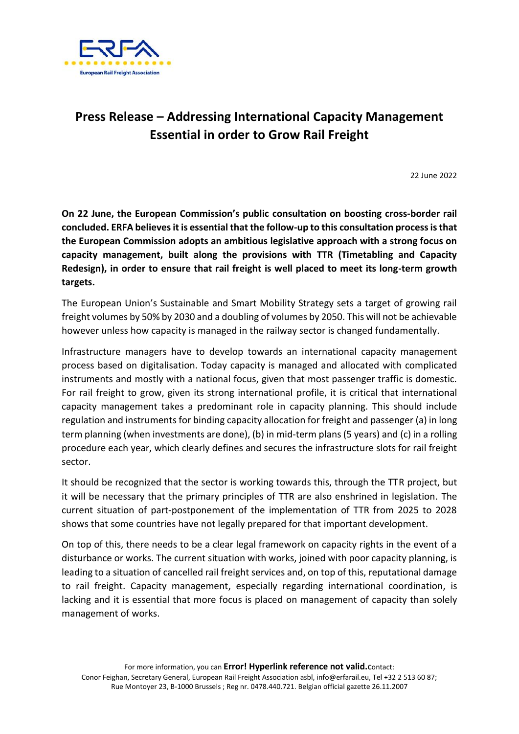

## **Press Release – Addressing International Capacity Management Essential in order to Grow Rail Freight**

22 June 2022

**On 22 June, the European Commission's public consultation on boosting cross-border rail concluded. ERFA believes it is essential that the follow-up to this consultation process is that the European Commission adopts an ambitious legislative approach with a strong focus on capacity management, built along the provisions with TTR (Timetabling and Capacity Redesign), in order to ensure that rail freight is well placed to meet its long-term growth targets.**

The European Union's Sustainable and Smart Mobility Strategy sets a target of growing rail freight volumes by 50% by 2030 and a doubling of volumes by 2050. This will not be achievable however unless how capacity is managed in the railway sector is changed fundamentally.

Infrastructure managers have to develop towards an international capacity management process based on digitalisation. Today capacity is managed and allocated with complicated instruments and mostly with a national focus, given that most passenger traffic is domestic. For rail freight to grow, given its strong international profile, it is critical that international capacity management takes a predominant role in capacity planning. This should include regulation and instruments for binding capacity allocation for freight and passenger (a) in long term planning (when investments are done), (b) in mid-term plans (5 years) and (c) in a rolling procedure each year, which clearly defines and secures the infrastructure slots for rail freight sector.

It should be recognized that the sector is working towards this, through the TTR project, but it will be necessary that the primary principles of TTR are also enshrined in legislation. The current situation of part-postponement of the implementation of TTR from 2025 to 2028 shows that some countries have not legally prepared for that important development.

On top of this, there needs to be a clear legal framework on capacity rights in the event of a disturbance or works. The current situation with works, joined with poor capacity planning, is leading to a situation of cancelled rail freight services and, on top of this, reputational damage to rail freight. Capacity management, especially regarding international coordination, is lacking and it is essential that more focus is placed on management of capacity than solely management of works.